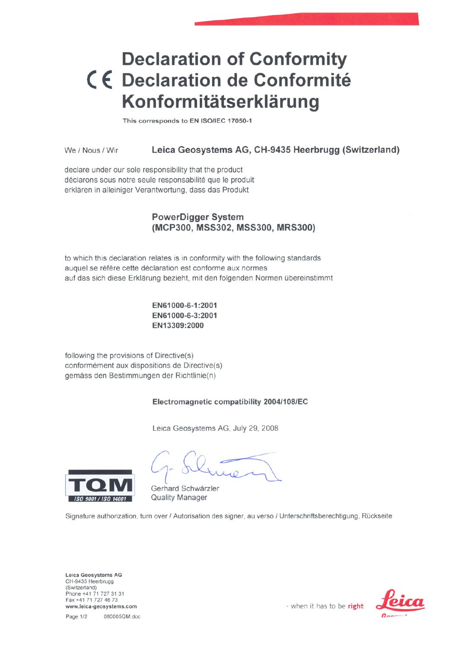# **Declaration of Conformity** < **€ Declaration de Conformite Konformitätserklärung**

This corresponds to EN ISO/IEC 17050-1

We / Nous / Wir Leica Geosystems AG, CH-9435 Heerbrugg (Switzerland)

declare under our sole responsibility that the product déclarons sous notre seule responsabilité que le produit erklaren in alleiniger Verantwortung, dass das Produkt

## PowerDigger System (MCP300, MSS302, MSS300, MRS300)

to which this declaration relates is in conformity with the following standards auquel se réfère cette déclaration est conforme aux normes auf das sich diese Erklarung bezieht, mit den folgenden Normen übereinstimmt

> EN61000-6-1:2001 EN61000-6-3:2001 EN13309:2000

following the provisions of Directive(s) conformement aux dispositions de Directive(s) gemass den Bestimmungen der Richtlinie(n)

## Electromagnetic compatibility 2004/108/EC

Leica Geosystems AG, July 29, 2008



Gerhard Schwarzier Quality Manager

Signature authorization, turn over / Autorisation des signer, au verso / Unterschriftsberechtigung, Rückseite

Leica Geosystems AG CH-9435 Heerbrugg (Switzerland) Phone +41 71 727 31 31 Fax +41 71 727 46 73 Fax +41 71 727 46 73<br>www.leica-geosystems.com **-** when it has to be **right Letter** 

Page 1/2 080005QM.doc